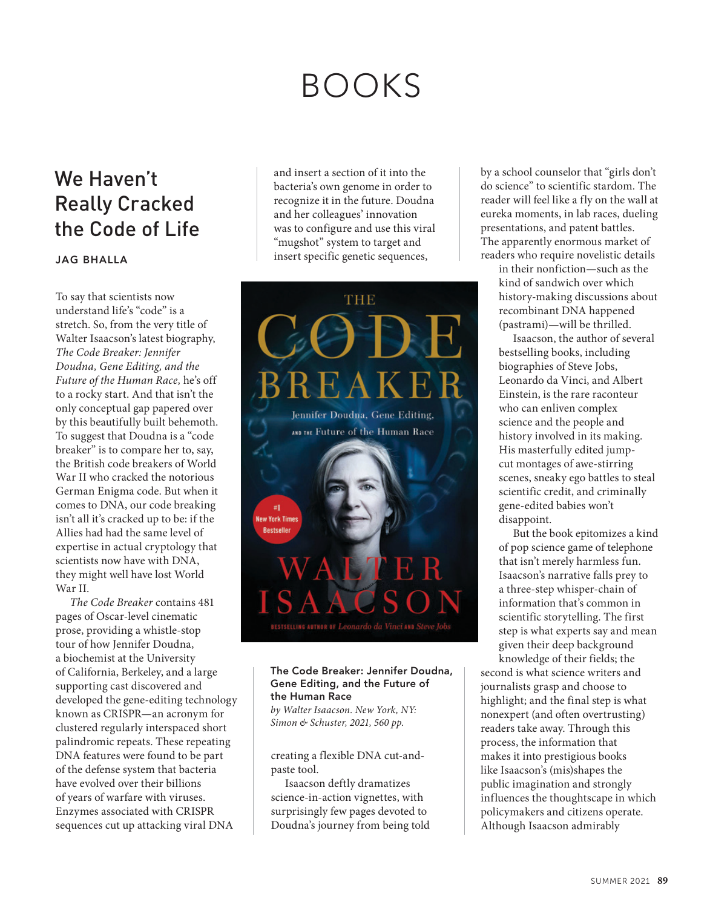## BOOKS

## We Haven't Really Cracked the Code of Life

## **JAG BHALLA**

To say that scientists now understand life's "code" is a stretch. So, from the very title of Walter Isaacson's latest biography, *The Code Breaker: Jennifer Doudna, Gene Editing, and the Future of the Human Race,* he's off to a rocky start. And that isn't the only conceptual gap papered over by this beautifully built behemoth. To suggest that Doudna is a "code breaker" is to compare her to, say, the British code breakers of World War II who cracked the notorious German Enigma code. But when it comes to DNA, our code breaking isn't all it's cracked up to be: if the Allies had had the same level of expertise in actual cryptology that scientists now have with DNA, they might well have lost World War II.

*The Code Breaker* contains 481 pages of Oscar-level cinematic prose, providing a whistle-stop tour of how Jennifer Doudna, a biochemist at the University of California, Berkeley, and a large supporting cast discovered and developed the gene-editing technology known as CRISPR—an acronym for clustered regularly interspaced short palindromic repeats. These repeating DNA features were found to be part of the defense system that bacteria have evolved over their billions of years of warfare with viruses. Enzymes associated with CRISPR sequences cut up attacking viral DNA

and insert a section of it into the bacteria's own genome in order to recognize it in the future. Doudna and her colleagues' innovation was to configure and use this viral "mugshot" system to target and insert specific genetic sequences,



## **The Code Breaker: Jennifer Doudna, Gene Editing, and the Future of the Human Race**

*by Walter Isaacson. New York, NY: Simon & Schuster, 2021, 560 pp.*

creating a flexible DNA cut-andpaste tool.

Isaacson deftly dramatizes science-in-action vignettes, with surprisingly few pages devoted to Doudna's journey from being told by a school counselor that "girls don't do science" to scientific stardom. The reader will feel like a fly on the wall at eureka moments, in lab races, dueling presentations, and patent battles. The apparently enormous market of readers who require novelistic details

in their nonfiction—such as the kind of sandwich over which history-making discussions about recombinant DNA happened (pastrami)—will be thrilled.

Isaacson, the author of several bestselling books, including biographies of Steve Jobs, Leonardo da Vinci, and Albert Einstein, is the rare raconteur who can enliven complex science and the people and history involved in its making. His masterfully edited jumpcut montages of awe-stirring scenes, sneaky ego battles to steal scientific credit, and criminally gene-edited babies won't disappoint.

But the book epitomizes a kind of pop science game of telephone that isn't merely harmless fun. Isaacson's narrative falls prey to a three-step whisper-chain of information that's common in scientific storytelling. The first step is what experts say and mean given their deep background knowledge of their fields; the

second is what science writers and journalists grasp and choose to highlight; and the final step is what nonexpert (and often overtrusting) readers take away. Through this process, the information that makes it into prestigious books like Isaacson's (mis)shapes the public imagination and strongly influences the thoughtscape in which policymakers and citizens operate. Although Isaacson admirably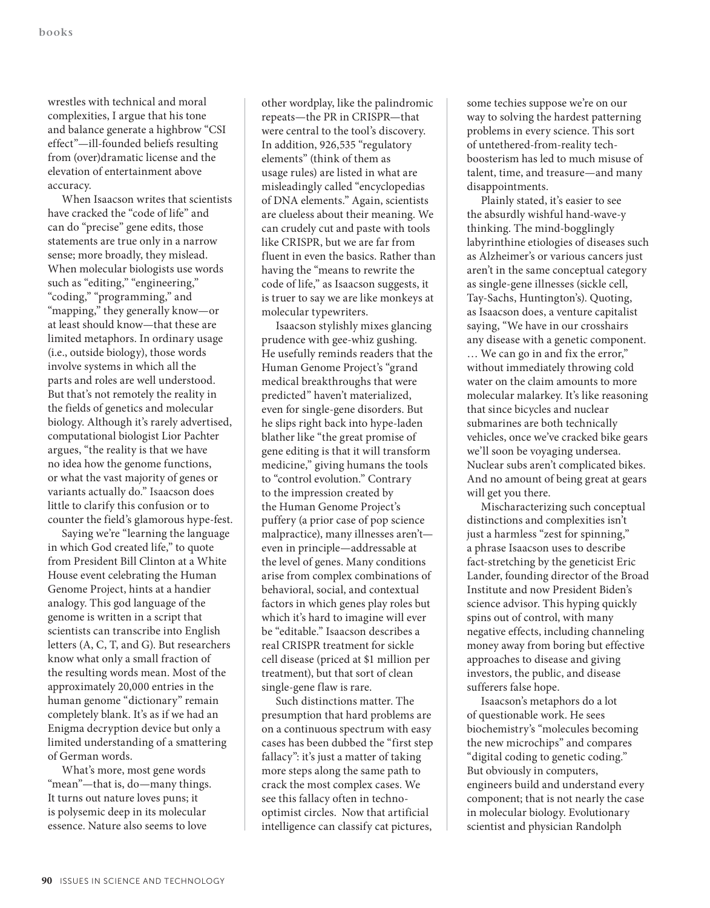wrestles with technical and moral complexities, I argue that his tone and balance generate a highbrow "CSI effect"—ill-founded beliefs resulting from (over)dramatic license and the elevation of entertainment above accuracy.

When Isaacson writes that scientists have cracked the "code of life" and can do "precise" gene edits, those statements are true only in a narrow sense; more broadly, they mislead. When molecular biologists use words such as "editing," "engineering," "coding," "programming," and "mapping," they generally know—or at least should know—that these are limited metaphors. In ordinary usage (i.e., outside biology), those words involve systems in which all the parts and roles are well understood. But that's not remotely the reality in the fields of genetics and molecular biology. Although it's rarely advertised, computational biologist Lior Pachter argues, "the reality is that we have no idea how the genome functions, or what the vast majority of genes or variants actually do." Isaacson does little to clarify this confusion or to counter the field's glamorous hype-fest.

Saying we're "learning the language in which God created life," to quote from President Bill Clinton at a White House event celebrating the Human Genome Project, hints at a handier analogy. This god language of the genome is written in a script that scientists can transcribe into English letters (A, C, T, and G). But researchers know what only a small fraction of the resulting words mean. Most of the approximately 20,000 entries in the human genome "dictionary" remain completely blank. It's as if we had an Enigma decryption device but only a limited understanding of a smattering of German words.

What's more, most gene words "mean"—that is, do—many things. It turns out nature loves puns; it is polysemic deep in its molecular essence. Nature also seems to love

other wordplay, like the palindromic repeats—the PR in CRISPR—that were central to the tool's discovery. In addition, 926,535 "regulatory elements" (think of them as usage rules) are listed in what are misleadingly called "encyclopedias of DNA elements." Again, scientists are clueless about their meaning. We can crudely cut and paste with tools like CRISPR, but we are far from fluent in even the basics. Rather than having the "means to rewrite the code of life," as Isaacson suggests, it is truer to say we are like monkeys at molecular typewriters.

Isaacson stylishly mixes glancing prudence with gee-whiz gushing. He usefully reminds readers that the Human Genome Project's "grand medical breakthroughs that were predicted" haven't materialized, even for single-gene disorders. But he slips right back into hype-laden blather like "the great promise of gene editing is that it will transform medicine," giving humans the tools to "control evolution." Contrary to the impression created by the Human Genome Project's puffery (a prior case of pop science malpractice), many illnesses aren't even in principle—addressable at the level of genes. Many conditions arise from complex combinations of behavioral, social, and contextual factors in which genes play roles but which it's hard to imagine will ever be "editable." Isaacson describes a real CRISPR treatment for sickle cell disease (priced at \$1 million per treatment), but that sort of clean single-gene flaw is rare.

Such distinctions matter. The presumption that hard problems are on a continuous spectrum with easy cases has been dubbed the "first step fallacy": it's just a matter of taking more steps along the same path to crack the most complex cases. We see this fallacy often in technooptimist circles. Now that artificial intelligence can classify cat pictures,

some techies suppose we're on our way to solving the hardest patterning problems in every science. This sort of untethered-from-reality techboosterism has led to much misuse of talent, time, and treasure—and many disappointments.

Plainly stated, it's easier to see the absurdly wishful hand-wave-y thinking. The mind-bogglingly labyrinthine etiologies of diseases such as Alzheimer's or various cancers just aren't in the same conceptual category as single-gene illnesses (sickle cell, Tay-Sachs, Huntington's). Quoting, as Isaacson does, a venture capitalist saying, "We have in our crosshairs any disease with a genetic component. … We can go in and fix the error," without immediately throwing cold water on the claim amounts to more molecular malarkey. It's like reasoning that since bicycles and nuclear submarines are both technically vehicles, once we've cracked bike gears we'll soon be voyaging undersea. Nuclear subs aren't complicated bikes. And no amount of being great at gears will get you there.

Mischaracterizing such conceptual distinctions and complexities isn't just a harmless "zest for spinning," a phrase Isaacson uses to describe fact-stretching by the geneticist Eric Lander, founding director of the Broad Institute and now President Biden's science advisor. This hyping quickly spins out of control, with many negative effects, including channeling money away from boring but effective approaches to disease and giving investors, the public, and disease sufferers false hope.

Isaacson's metaphors do a lot of questionable work. He sees biochemistry's "molecules becoming the new microchips" and compares "digital coding to genetic coding." But obviously in computers, engineers build and understand every component; that is not nearly the case in molecular biology. Evolutionary scientist and physician Randolph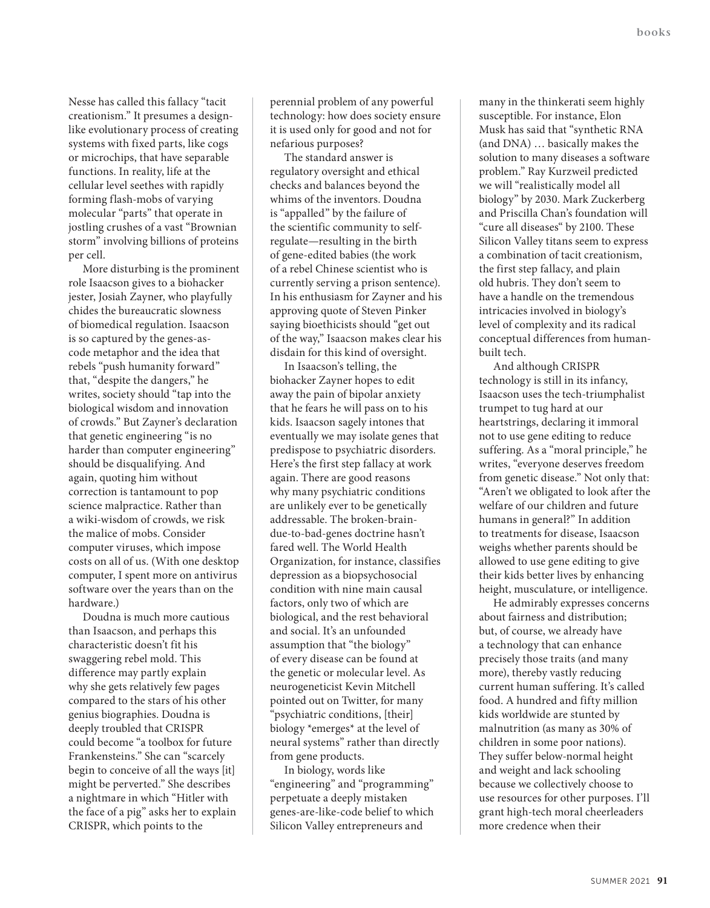Nesse has called this fallacy "tacit creationism." It presumes a designlike evolutionary process of creating systems with fixed parts, like cogs or microchips, that have separable functions. In reality, life at the cellular level seethes with rapidly forming flash-mobs of varying molecular "parts" that operate in jostling crushes of a vast "Brownian storm" involving billions of proteins per cell.

More disturbing is the prominent role Isaacson gives to a biohacker jester, Josiah Zayner, who playfully chides the bureaucratic slowness of biomedical regulation. Isaacson is so captured by the genes-ascode metaphor and the idea that rebels "push humanity forward" that, "despite the dangers," he writes, society should "tap into the biological wisdom and innovation of crowds." But Zayner's declaration that genetic engineering "is no harder than computer engineering" should be disqualifying. And again, quoting him without correction is tantamount to pop science malpractice. Rather than a wiki-wisdom of crowds, we risk the malice of mobs. Consider computer viruses, which impose costs on all of us. (With one desktop computer, I spent more on antivirus software over the years than on the hardware.)

Doudna is much more cautious than Isaacson, and perhaps this characteristic doesn't fit his swaggering rebel mold. This difference may partly explain why she gets relatively few pages compared to the stars of his other genius biographies. Doudna is deeply troubled that CRISPR could become "a toolbox for future Frankensteins." She can "scarcely begin to conceive of all the ways [it] might be perverted." She describes a nightmare in which "Hitler with the face of a pig" asks her to explain CRISPR, which points to the

perennial problem of any powerful technology: how does society ensure it is used only for good and not for nefarious purposes?

The standard answer is regulatory oversight and ethical checks and balances beyond the whims of the inventors. Doudna is "appalled" by the failure of the scientific community to selfregulate—resulting in the birth of gene-edited babies (the work of a rebel Chinese scientist who is currently serving a prison sentence). In his enthusiasm for Zayner and his approving quote of Steven Pinker saying bioethicists should "get out of the way," Isaacson makes clear his disdain for this kind of oversight.

In Isaacson's telling, the biohacker Zayner hopes to edit away the pain of bipolar anxiety that he fears he will pass on to his kids. Isaacson sagely intones that eventually we may isolate genes that predispose to psychiatric disorders. Here's the first step fallacy at work again. There are good reasons why many psychiatric conditions are unlikely ever to be genetically addressable. The broken-braindue-to-bad-genes doctrine hasn't fared well. The World Health Organization, for instance, classifies depression as a biopsychosocial condition with nine main causal factors, only two of which are biological, and the rest behavioral and social. It's an unfounded assumption that "the biology" of every disease can be found at the genetic or molecular level. As neurogeneticist Kevin Mitchell pointed out on Twitter, for many "psychiatric conditions, [their] biology \*emerges\* at the level of neural systems" rather than directly from gene products.

In biology, words like "engineering" and "programming" perpetuate a deeply mistaken genes-are-like-code belief to which Silicon Valley entrepreneurs and

many in the thinkerati seem highly susceptible. For instance, Elon Musk has said that "synthetic RNA (and DNA) … basically makes the solution to many diseases a software problem." Ray Kurzweil predicted we will "realistically model all biology" by 2030. Mark Zuckerberg and Priscilla Chan's foundation will "cure all diseases" by 2100. These Silicon Valley titans seem to express a combination of tacit creationism, the first step fallacy, and plain old hubris. They don't seem to have a handle on the tremendous intricacies involved in biology's level of complexity and its radical conceptual differences from humanbuilt tech.

And although CRISPR technology is still in its infancy, Isaacson uses the tech-triumphalist trumpet to tug hard at our heartstrings, declaring it immoral not to use gene editing to reduce suffering. As a "moral principle," he writes, "everyone deserves freedom from genetic disease." Not only that: "Aren't we obligated to look after the welfare of our children and future humans in general?" In addition to treatments for disease, Isaacson weighs whether parents should be allowed to use gene editing to give their kids better lives by enhancing height, musculature, or intelligence.

He admirably expresses concerns about fairness and distribution; but, of course, we already have a technology that can enhance precisely those traits (and many more), thereby vastly reducing current human suffering. It's called food. A hundred and fifty million kids worldwide are stunted by malnutrition (as many as 30% of children in some poor nations). They suffer below-normal height and weight and lack schooling because we collectively choose to use resources for other purposes. I'll grant high-tech moral cheerleaders more credence when their